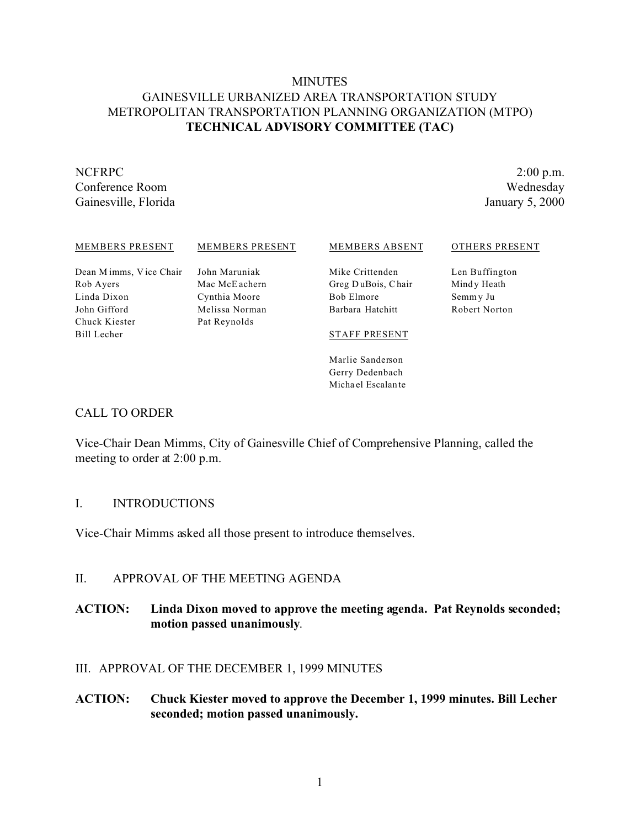# **MINUTES** GAINESVILLE URBANIZED AREA TRANSPORTATION STUDY METROPOLITAN TRANSPORTATION PLANNING ORGANIZATION (MTPO) **TECHNICAL ADVISORY COMMITTEE (TAC)**

Rob Ayers Linda Dixon John Gifford Chuck Kiester Bill Lecher

Gainesville, Florida January 5, 2000

NCFRPC 2:00 p.m. Conference Room Wednesday

#### MEMBERS PRESENT

Dean M imms, V ice Chair

MEMBERS PRESENT

John Maruniak Mac McE achern Cynthia Moore Melissa Norman Pat Reynolds

#### MEMBERS ABSENT

Mike Crittenden Greg D uBois, Chair Bob Elmore Barbara Hatchitt

Len Buffington Mind y Heath Semm y Ju Robert Norton

OTHERS PRESENT

#### STAFF PRESENT

Marlie Sanderson Gerry Dedenbach Micha el Escalan te

#### CALL TO ORDER

Vice-Chair Dean Mimms, City of Gainesville Chief of Comprehensive Planning, called the meeting to order at 2:00 p.m.

#### I. INTRODUCTIONS

Vice-Chair Mimms asked all those present to introduce themselves.

# II. APPROVAL OF THE MEETING AGENDA

# **ACTION: Linda Dixon moved to approve the meeting agenda. Pat Reynolds seconded; motion passed unanimously**.

# III. APPROVAL OF THE DECEMBER 1, 1999 MINUTES

**ACTION: Chuck Kiester moved to approve the December 1, 1999 minutes. Bill Lecher seconded; motion passed unanimously.**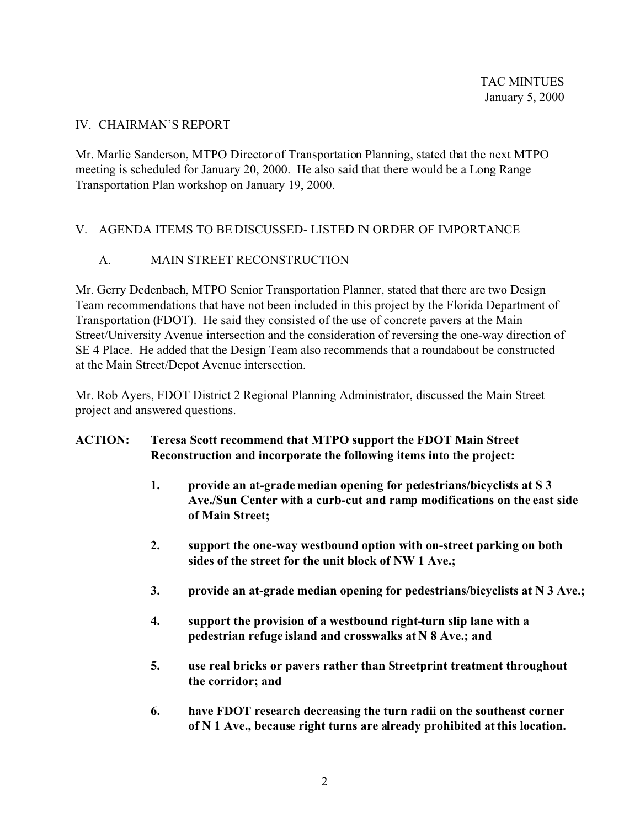#### IV. CHAIRMAN'S REPORT

Mr. Marlie Sanderson, MTPO Director of Transportation Planning, stated that the next MTPO meeting is scheduled for January 20, 2000. He also said that there would be a Long Range Transportation Plan workshop on January 19, 2000.

# V. AGENDA ITEMS TO BE DISCUSSED- LISTED IN ORDER OF IMPORTANCE

# A. MAIN STREET RECONSTRUCTION

Mr. Gerry Dedenbach, MTPO Senior Transportation Planner, stated that there are two Design Team recommendations that have not been included in this project by the Florida Department of Transportation (FDOT). He said they consisted of the use of concrete pavers at the Main Street/University Avenue intersection and the consideration of reversing the one-way direction of SE 4 Place. He added that the Design Team also recommends that a roundabout be constructed at the Main Street/Depot Avenue intersection.

Mr. Rob Ayers, FDOT District 2 Regional Planning Administrator, discussed the Main Street project and answered questions.

# **ACTION: Teresa Scott recommend that MTPO support the FDOT Main Street Reconstruction and incorporate the following items into the project:**

- **1. provide an at-grade median opening for pedestrians/bicyclists at S 3 Ave./Sun Center with a curb-cut and ramp modifications on the east side of Main Street;**
- **2. support the one-way westbound option with on-street parking on both sides of the street for the unit block of NW 1 Ave.;**
- **3. provide an at-grade median opening for pedestrians/bicyclists at N 3 Ave.;**
- **4. support the provision of a westbound right-turn slip lane with a pedestrian refuge island and crosswalks at N 8 Ave.; and**
- **5. use real bricks or pavers rather than Streetprint treatment throughout the corridor; and**
- **6. have FDOT research decreasing the turn radii on the southeast corner of N 1 Ave., because right turns are already prohibited at this location.**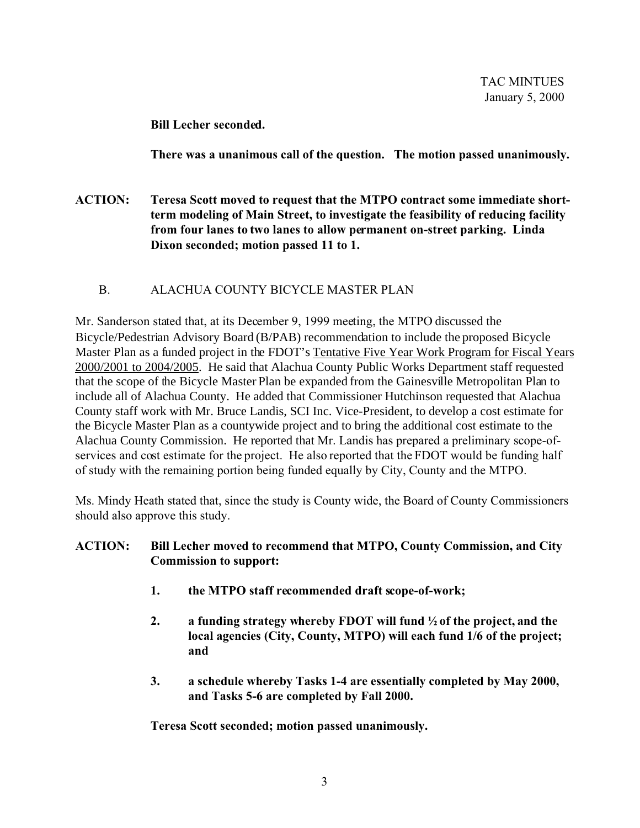**Bill Lecher seconded.**

**There was a unanimous call of the question. The motion passed unanimously.**

- **ACTION: Teresa Scott moved to request that the MTPO contract some immediate shortterm modeling of Main Street, to investigate the feasibility of reducing facility from four lanes to two lanes to allow permanent on-street parking. Linda Dixon seconded; motion passed 11 to 1.**
	- B. ALACHUA COUNTY BICYCLE MASTER PLAN

Mr. Sanderson stated that, at its December 9, 1999 meeting, the MTPO discussed the Bicycle/Pedestrian Advisory Board (B/PAB) recommendation to include the proposed Bicycle Master Plan as a funded project in the FDOT's Tentative Five Year Work Program for Fiscal Years 2000/2001 to 2004/2005. He said that Alachua County Public Works Department staff requested that the scope of the Bicycle Master Plan be expanded from the Gainesville Metropolitan Plan to include all of Alachua County. He added that Commissioner Hutchinson requested that Alachua County staff work with Mr. Bruce Landis, SCI Inc. Vice-President, to develop a cost estimate for the Bicycle Master Plan as a countywide project and to bring the additional cost estimate to the Alachua County Commission. He reported that Mr. Landis has prepared a preliminary scope-ofservices and cost estimate for the project. He also reported that the FDOT would be funding half of study with the remaining portion being funded equally by City, County and the MTPO.

Ms. Mindy Heath stated that, since the study is County wide, the Board of County Commissioners should also approve this study.

# **ACTION: Bill Lecher moved to recommend that MTPO, County Commission, and City Commission to support:**

- **1. the MTPO staff recommended draft scope-of-work;**
- **2. a funding strategy whereby FDOT will fund ½ of the project, and the local agencies (City, County, MTPO) will each fund 1/6 of the project; and**
- **3. a schedule whereby Tasks 1-4 are essentially completed by May 2000, and Tasks 5-6 are completed by Fall 2000.**

**Teresa Scott seconded; motion passed unanimously.**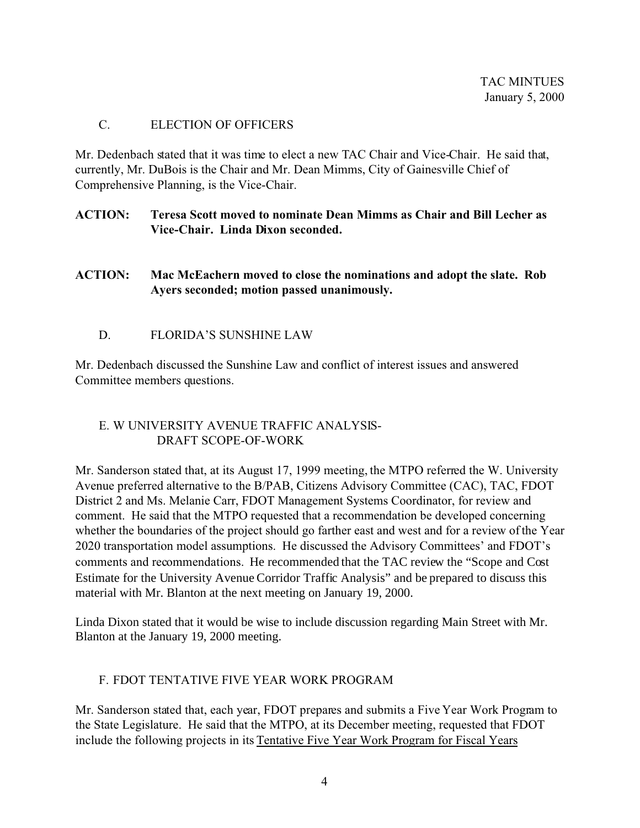#### C. ELECTION OF OFFICERS

Mr. Dedenbach stated that it was time to elect a new TAC Chair and Vice-Chair. He said that, currently, Mr. DuBois is the Chair and Mr. Dean Mimms, City of Gainesville Chief of Comprehensive Planning, is the Vice-Chair.

#### **ACTION: Teresa Scott moved to nominate Dean Mimms as Chair and Bill Lecher as Vice-Chair. Linda Dixon seconded.**

#### **ACTION: Mac McEachern moved to close the nominations and adopt the slate. Rob Ayers seconded; motion passed unanimously.**

# D. FLORIDA'S SUNSHINE LAW

Mr. Dedenbach discussed the Sunshine Law and conflict of interest issues and answered Committee members questions.

# E. W UNIVERSITY AVENUE TRAFFIC ANALYSIS- DRAFT SCOPE-OF-WORK

Mr. Sanderson stated that, at its August 17, 1999 meeting, the MTPO referred the W. University Avenue preferred alternative to the B/PAB, Citizens Advisory Committee (CAC), TAC, FDOT District 2 and Ms. Melanie Carr, FDOT Management Systems Coordinator, for review and comment. He said that the MTPO requested that a recommendation be developed concerning whether the boundaries of the project should go farther east and west and for a review of the Year 2020 transportation model assumptions. He discussed the Advisory Committees' and FDOT's comments and recommendations. He recommended that the TAC review the "Scope and Cost Estimate for the University Avenue Corridor Traffic Analysis" and be prepared to discuss this material with Mr. Blanton at the next meeting on January 19, 2000.

Linda Dixon stated that it would be wise to include discussion regarding Main Street with Mr. Blanton at the January 19, 2000 meeting.

#### F. FDOT TENTATIVE FIVE YEAR WORK PROGRAM

Mr. Sanderson stated that, each year, FDOT prepares and submits a Five Year Work Program to the State Legislature. He said that the MTPO, at its December meeting, requested that FDOT include the following projects in its Tentative Five Year Work Program for Fiscal Years